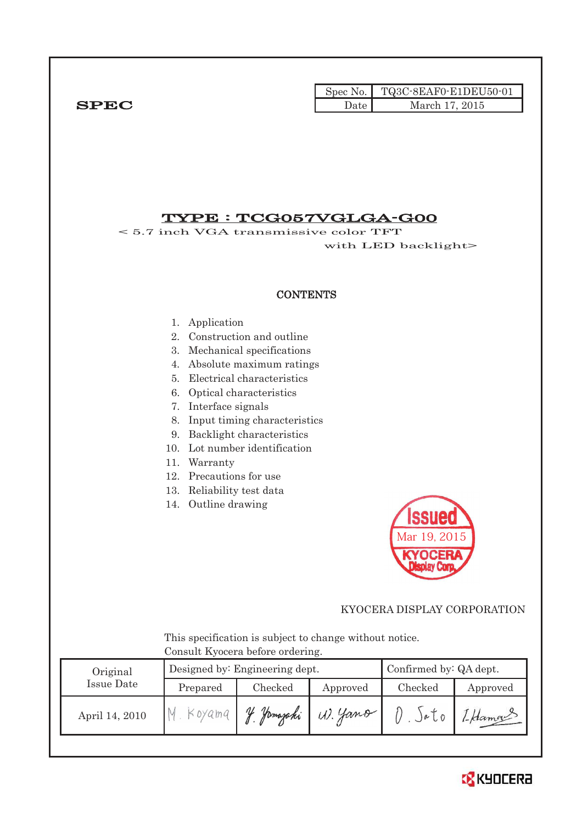|              |      | Spec No.   TQ3C-8EAF0-E1DEU50-01 |
|--------------|------|----------------------------------|
| ${\bf SPEC}$ | Date | March 17, 2015                   |

## TYPE : TCG057VGLGA-G00

< 5.7 inch VGA transmissive color TFT with LED backlight>

### **CONTENTS**

#### 1. Application

- 2. Construction and outline
- 3. Mechanical specifications
- 4. Absolute maximum ratings
- 5. Electrical characteristics
- 6. Optical characteristics
- 7. Interface signals
- 8. Input timing characteristics
- 9. Backlight characteristics
- 10. Lot number identification
- 11. Warranty
- 12. Precautions for use
- 13. Reliability test data
- 14. Outline drawing



### KYOCERA DISPLAY CORPORATION

 This specification is subject to change without notice. Consult Kyocera before ordering.

| Original       |          | Designed by: Engineering dept. |          |                  | Confirmed by: QA dept. |  |  |
|----------------|----------|--------------------------------|----------|------------------|------------------------|--|--|
| Issue Date     | Prepared | Checked                        | Approved | Checked          | Approved               |  |  |
| April 14, 2010 | Koyama   | Homazaki                       | W. yano  | $J^{\alpha}$ $0$ | 1-Hamou                |  |  |

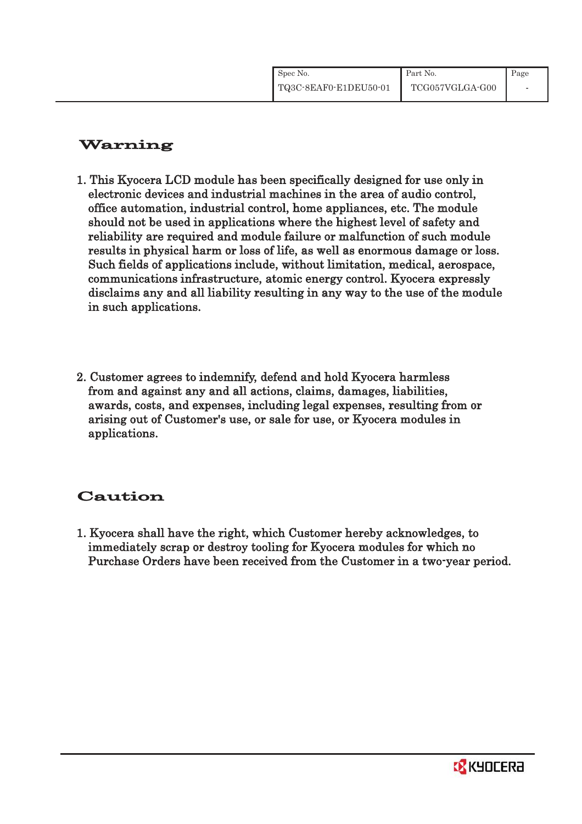| Spec No.              | Part No.        | Page |
|-----------------------|-----------------|------|
| TQ3C-8EAF0-E1DEU50-01 | TCG057VGLGA-G00 |      |

# Warning

- 1. This Kyocera LCD module has been specifically designed for use only in electronic devices and industrial machines in the area of audio control, office automation, industrial control, home appliances, etc. The module should not be used in applications where the highest level of safety and reliability are required and module failure or malfunction of such module results in physical harm or loss of life, as well as enormous damage or loss. Such fields of applications include, without limitation, medical, aerospace, communications infrastructure, atomic energy control. Kyocera expressly disclaims any and all liability resulting in any way to the use of the module in such applications.
- 2. Customer agrees to indemnify, defend and hold Kyocera harmless from and against any and all actions, claims, damages, liabilities, awards, costs, and expenses, including legal expenses, resulting from or arising out of Customer's use, or sale for use, or Kyocera modules in applications.

# Caution

1. Kyocera shall have the right, which Customer hereby acknowledges, to immediately scrap or destroy tooling for Kyocera modules for which no Purchase Orders have been received from the Customer in a two-year period.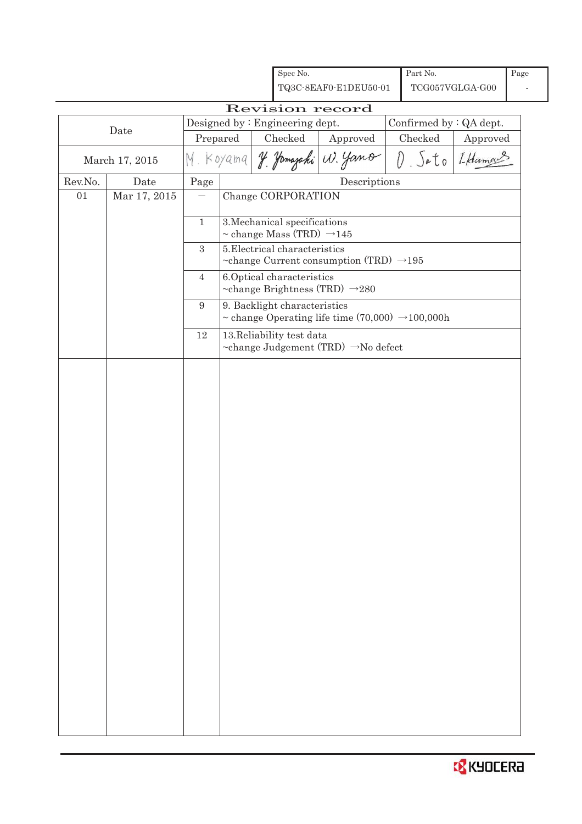|         |                |                |                                                         | Spec No.                                   | TQ3C-8EAF0-E1DEU50-01                                         |  | Part No.                | TCG057VGLGA-G00 | Page |
|---------|----------------|----------------|---------------------------------------------------------|--------------------------------------------|---------------------------------------------------------------|--|-------------------------|-----------------|------|
|         |                |                |                                                         |                                            | Revision record                                               |  |                         |                 |      |
|         |                |                |                                                         | Designed by: Engineering dept.             |                                                               |  | Confirmed by : QA dept. |                 |      |
|         | Date           | Prepared       |                                                         | Checked                                    | Approved                                                      |  | Checked                 | Approved        |      |
|         | March 17, 2015 |                | I Hamas<br>M. Koyama Y. Jamazaki W. Yamo<br>$D.$ $Sato$ |                                            |                                                               |  |                         |                 |      |
| Rev.No. | Date           | Page           |                                                         |                                            | Descriptions                                                  |  |                         |                 |      |
| 01      | Mar 17, 2015   |                |                                                         | Change CORPORATION                         |                                                               |  |                         |                 |      |
|         |                | $\mathbf{1}$   |                                                         | 3. Mechanical specifications               |                                                               |  |                         |                 |      |
|         |                |                |                                                         | $\sim$ change Mass (TRD) $\rightarrow$ 145 |                                                               |  |                         |                 |      |
|         |                | $\sqrt{3}$     |                                                         | 5. Electrical characteristics              |                                                               |  |                         |                 |      |
|         |                |                |                                                         |                                            | ~change Current consumption (TRD) $\rightarrow$ 195           |  |                         |                 |      |
|         |                | $\overline{4}$ |                                                         | 6. Optical characteristics                 |                                                               |  |                         |                 |      |
|         |                | 9              |                                                         | 9. Backlight characteristics               | ~change Brightness (TRD) $\rightarrow$ 280                    |  |                         |                 |      |
|         |                |                |                                                         |                                            | ~ change Operating life time $(70,000) \rightarrow 100,000$ h |  |                         |                 |      |
|         |                | 12             |                                                         | 13. Reliability test data                  |                                                               |  |                         |                 |      |
|         |                |                |                                                         |                                            | ~change Judgement (TRD) →No defect                            |  |                         |                 |      |
|         |                |                |                                                         |                                            |                                                               |  |                         |                 |      |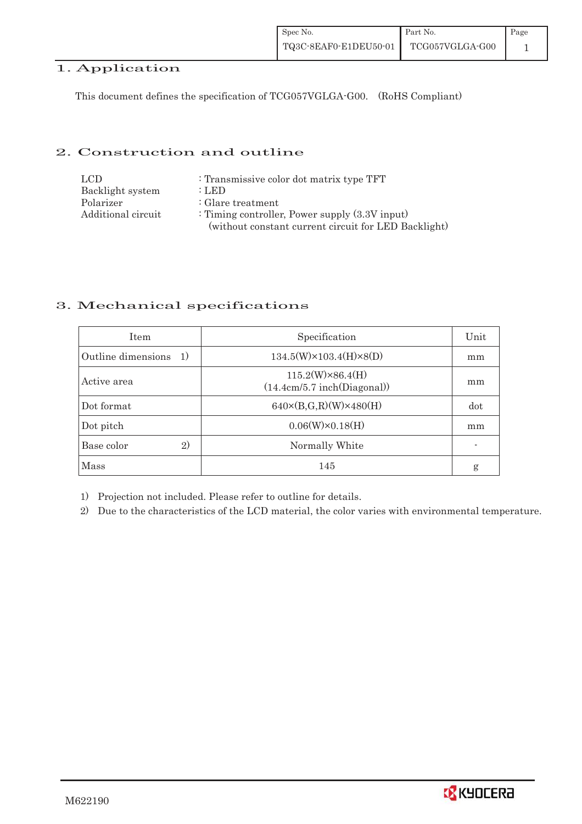## 1. Application

This document defines the specification of TCG057VGLGA-G00. (RoHS Compliant)

### 2. Construction and outline

| LCD.               | : Transmissive color dot matrix type TFT             |
|--------------------|------------------------------------------------------|
| Backlight system   | : LED                                                |
| Polarizer          | $\therefore$ Glare treatment                         |
| Additional circuit | : Timing controller, Power supply $(3.3V$ input)     |
|                    | (without constant current circuit for LED Backlight) |

### 3. Mechanical specifications

| <b>Item</b>               | Specification                                          | Unit |
|---------------------------|--------------------------------------------------------|------|
| Outline dimensions<br>-1) | $134.5(W)\times 103.4(H)\times 8(D)$                   | mm   |
| Active area               | $115.2(W)\times86.4(H)$<br>(14.4cm/5.7 inch(Diagonal)) | mm   |
| Dot format                | $640 \times (B,G,R)(W) \times 480(H)$                  | dot  |
| Dot pitch                 | $0.06(W)\times0.18(H)$                                 | mm   |
| 2)<br>Base color          | Normally White                                         |      |
| <b>Mass</b>               | 145                                                    | g    |

1) Projection not included. Please refer to outline for details.

2) Due to the characteristics of the LCD material, the color varies with environmental temperature.

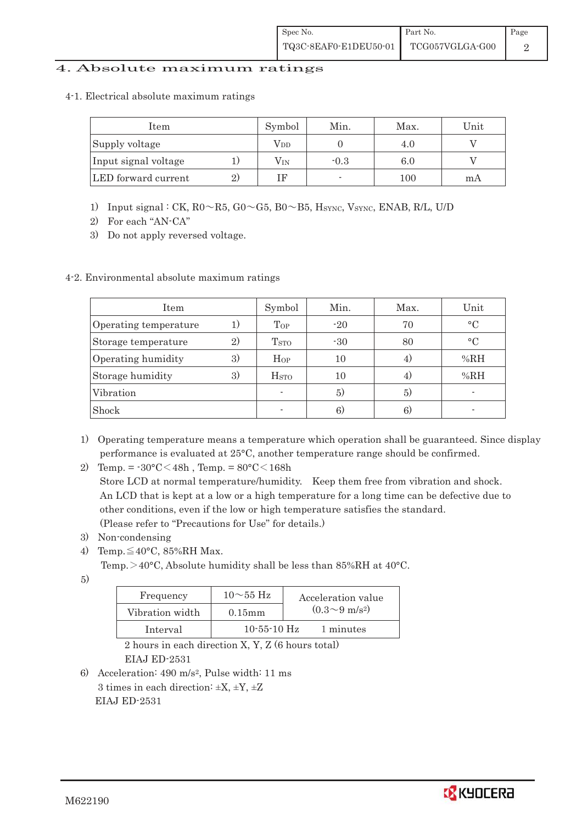### 4. Absolute maximum ratings

4-1. Electrical absolute maximum ratings

| Item                 |    | Symbol       | Min.                     | Max. | Unit |
|----------------------|----|--------------|--------------------------|------|------|
| Supply voltage       |    | $\rm V_{DD}$ |                          |      |      |
| Input signal voltage |    | $\rm V_{IN}$ | $-0.3$                   | 6.0  |      |
| LED forward current  | 2. | TЕ           | $\overline{\phantom{a}}$ | 100  | m A  |

- 1) Input signal : CK,  $R0 \sim R5$ ,  $G0 \sim G5$ ,  $B0 \sim B5$ , Hsync, Vsync, ENAB, R/L, U/D
- 2) For each "AN-CA"
- 3) Do not apply reversed voltage.

### 4-2. Environmental absolute maximum ratings

| Item                  |    | Symbol                   | Min.  | Max. | Unit      |
|-----------------------|----|--------------------------|-------|------|-----------|
| Operating temperature | 1) | $\Gamma_{OP}$            | $-20$ | 70   | $\circ$ C |
| Storage temperature   | 2) | <b>T</b> <sub>STO</sub>  | $-30$ | 80   | $\circ$ C |
| Operating humidity    | 3) | Hop                      | 10    | 4.   | %RH       |
| Storage humidity      | 3) | $_{\mathrm{HSTO}}$       | 10    | 4)   | %RH       |
| Vibration             |    | $\overline{\phantom{0}}$ | 5)    | 5)   |           |
| Shock                 |    |                          | 6)    | 6.   |           |

- 1) Operating temperature means a temperature which operation shall be guaranteed. Since display performance is evaluated at 25°C, another temperature range should be confirmed.
- 2) Temp. =  $-30^{\circ}$ C $<$ 48h, Temp. =  $80^{\circ}$ C $<$ 168h

 Store LCD at normal temperature/humidity. Keep them free from vibration and shock. An LCD that is kept at a low or a high temperature for a long time can be defective due to other conditions, even if the low or high temperature satisfies the standard. (Please refer to "Precautions for Use" for details.)

- 3) Non-condensing
- 4) Temp. $\leq 40^{\circ}$ C, 85%RH Max.
	- Temp. $>40^{\circ}$ C, Absolute humidity shall be less than 85%RH at 40 $^{\circ}$ C.

5)

| Frequency       | $10\sim 55$ Hz    | Acceleration value         |
|-----------------|-------------------|----------------------------|
| Vibration width | $0.15$ m m        | $(0.3{\sim}9~{\rm m/s^2})$ |
| Interval        | $10 - 55 - 10$ Hz | 1 minutes                  |

 2 hours in each direction X, Y, Z (6 hours total) EIAJ ED-2531

6) Acceleration: 490 m/s2, Pulse width: 11 ms 3 times in each direction:  $\pm X$ ,  $\pm Y$ ,  $\pm Z$ EIAJ ED-2531

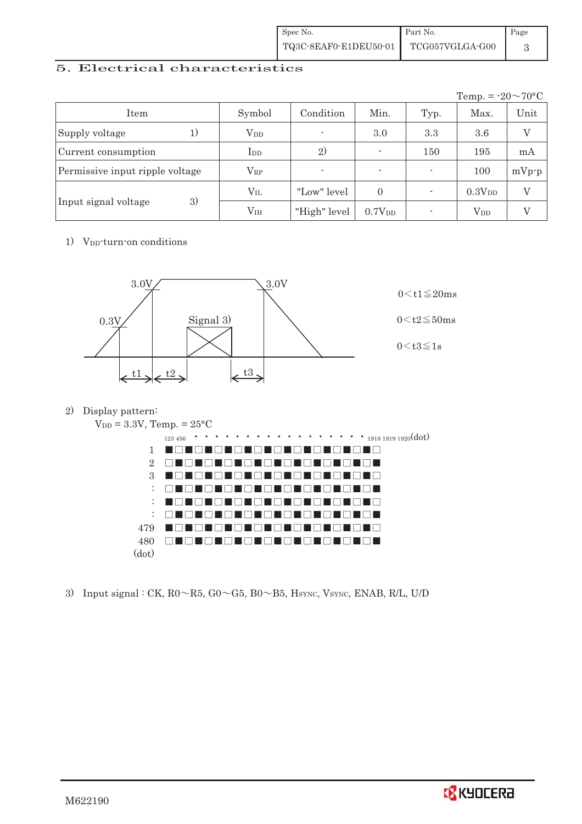| Spec No.              | Part No.        | Page |
|-----------------------|-----------------|------|
| TQ3C-8EAF0-E1DEU50-01 | TCG057VGLGA-G00 |      |

### 5. Electrical characteristics

|                                 |                 |                |                    |      | Temp. = $-20 \sim 70$ °C |                |
|---------------------------------|-----------------|----------------|--------------------|------|--------------------------|----------------|
| Item                            | Symbol          | Condition      | Min.               | Typ. | Max.                     | Unit           |
| Supply voltage<br>1)            | $V_{DD}$        | $\blacksquare$ | 3.0                | 3.3  | 3.6                      | $\overline{V}$ |
| Current consumption             | $_{\rm{LDD}}$   | 2)             |                    | 150  | 195                      | mA             |
| Permissive input ripple voltage | $\rm V_{RP}$    | -              |                    |      | 100                      | $mVp-p$        |
|                                 | $\rm V_{II.}$   | "Low" level    | $\Omega$           |      | 0.3V <sub>DD</sub>       | V              |
| 3)<br>Input signal voltage      | V <sub>IH</sub> | "High" level   | 0.7V <sub>DD</sub> |      | $\rm V_{DD}$             | V              |

1) V<sub>DD</sub>-turn-on conditions



2) Display pattern:



3) Input signal : CK,  $R0 \sim R5$ ,  $G0 \sim G5$ ,  $B0 \sim B5$ ,  $H<sub>SYNC</sub>$ ,  $V<sub>SYNC</sub>$ ,  $ENAB$ ,  $R/L$ ,  $U/D$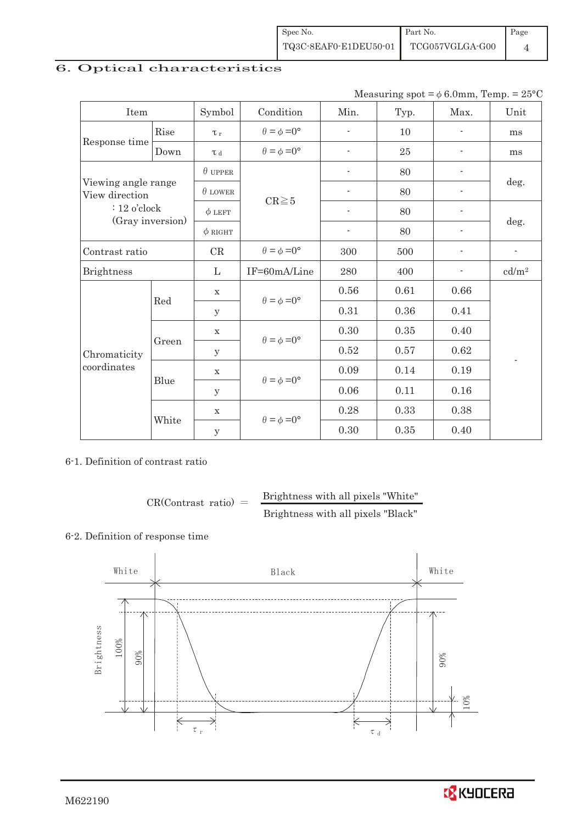| Spec No.              | Part No.        | Page |
|-----------------------|-----------------|------|
| TQ3C-8EAF0-E1DEU50-01 | TCG057VGLGA-G00 |      |

## 6. Optical characteristics

Measuring spot =  $\phi$  6.0mm, Temp. = 25°C

| Item                                  |       | Symbol         | Condition                   | Min.                     | Typ. | Max.                     | Unit                     |  |
|---------------------------------------|-------|----------------|-----------------------------|--------------------------|------|--------------------------|--------------------------|--|
| Response time                         | Rise  | $\tau_r$       | $\theta = \phi = 0^{\circ}$ | $\overline{\phantom{a}}$ | 10   | $\overline{\phantom{a}}$ | ms                       |  |
|                                       | Down  | $\tau$ d       | $\theta = \phi = 0^{\circ}$ | $\blacksquare$           | 25   | $\blacksquare$           | ms                       |  |
|                                       |       | $\theta$ upper |                             |                          | 80   |                          |                          |  |
| Viewing angle range<br>View direction |       | $\theta$ LOWER |                             |                          | 80   |                          | deg.                     |  |
| $: 12$ o'clock                        |       | $\phi$ LEFT    | $CR \ge 5$                  | $\overline{\phantom{a}}$ | 80   |                          |                          |  |
| (Gray inversion)                      |       | $\phi$ RIGHT   |                             | $\overline{\phantom{a}}$ | 80   | $\overline{\phantom{a}}$ | deg.                     |  |
| Contrast ratio                        |       | CR             | $\theta = \phi = 0^{\circ}$ | 300                      | 500  |                          | $\overline{\phantom{a}}$ |  |
| <b>Brightness</b>                     |       | L              | IF=60mA/Line                | 280                      | 400  |                          | cd/m <sup>2</sup>        |  |
|                                       | Red   | $\mathbf X$    | $\theta = \phi = 0^{\circ}$ | 0.56                     | 0.61 | 0.66                     |                          |  |
|                                       |       | y              |                             | 0.31                     | 0.36 | 0.41                     |                          |  |
|                                       |       | $\mathbf X$    | $\theta = \phi = 0^{\circ}$ | 0.30                     | 0.35 | 0.40                     |                          |  |
| Chromaticity                          | Green | У              |                             | 0.52                     | 0.57 | 0.62                     |                          |  |
| coordinates                           |       | $\mathbf X$    | $\theta = \phi = 0^{\circ}$ | 0.09                     | 0.14 | 0.19                     |                          |  |
|                                       | Blue  | y              |                             | $0.06\,$                 | 0.11 | 0.16                     |                          |  |
|                                       |       | $\mathbf X$    |                             | 0.28                     | 0.33 | 0.38                     |                          |  |
|                                       | White | $\mathbf y$    | $\theta = \phi = 0^{\circ}$ | 0.30                     | 0.35 | 0.40                     |                          |  |

6-1. Definition of contrast ratio

$$
CR(Contrast ratio) = \frac{Brightness with all pixels "White" }{Brightness with all pixels "Black" }
$$

#### 6-2. Definition of response time



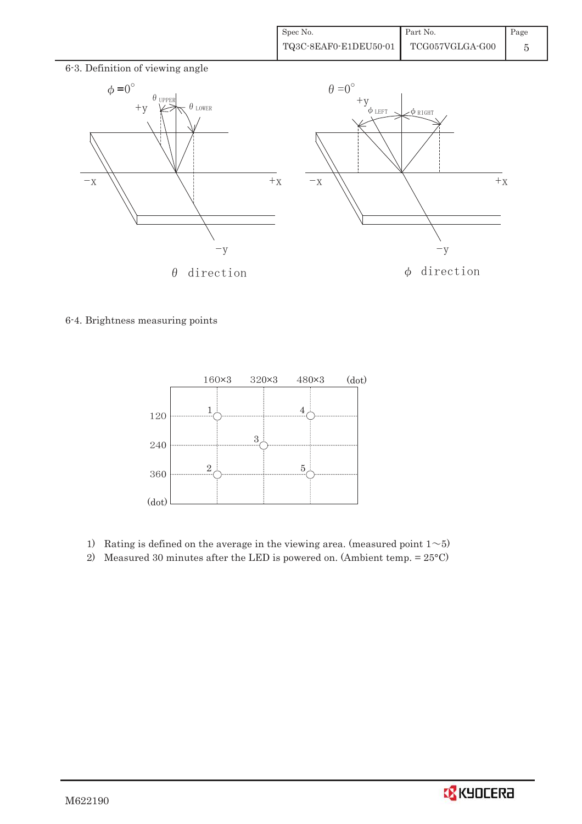

6-4. Brightness measuring points



- 1) Rating is defined on the average in the viewing area. (measured point  $1 \sim 5$ )
- 2) Measured 30 minutes after the LED is powered on. (Ambient temp. = 25°C)

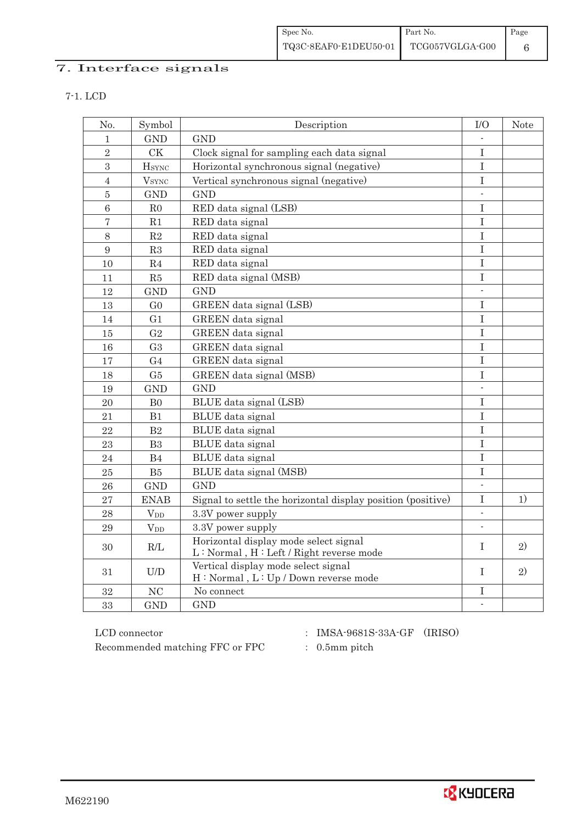| Spec No.              | Part No.        | Page |
|-----------------------|-----------------|------|
| TQ3C-8EAF0-E1DEU50-01 | TCG057VGLGA-G00 |      |

## 7. Interface signals

| No.            | Symbol                   | Description                                                 | I/O                      | <b>Note</b> |
|----------------|--------------------------|-------------------------------------------------------------|--------------------------|-------------|
| 1              | <b>GND</b>               | <b>GND</b>                                                  |                          |             |
| $\overline{2}$ | CK                       | Clock signal for sampling each data signal                  | $\mathbf I$              |             |
| $\sqrt{3}$     | <b>H</b> sync            | Horizontal synchronous signal (negative)                    | $\rm I$                  |             |
| $\overline{4}$ | <b>V</b> <sub>SYNC</sub> | Vertical synchronous signal (negative)                      | I                        |             |
| $\bar{5}$      | <b>GND</b>               | <b>GND</b>                                                  | $\overline{\phantom{a}}$ |             |
| $\overline{6}$ | R <sub>0</sub>           | RED data signal (LSB)                                       | I                        |             |
| $\overline{7}$ | R1                       | RED data signal                                             | I                        |             |
| 8              | R2                       | RED data signal                                             | $\bf I$                  |             |
| 9              | R3                       | RED data signal                                             | $\rm I$                  |             |
| 10             | $\mathbf{R}4$            | RED data signal                                             | $\bf I$                  |             |
| 11             | R5                       | RED data signal (MSB)                                       | $\bf I$                  |             |
| 12             | <b>GND</b>               | GND                                                         | $\overline{\phantom{a}}$ |             |
| 13             | G <sub>0</sub>           | GREEN data signal (LSB)                                     | I                        |             |
| 14             | G <sub>1</sub>           | GREEN data signal                                           | $\bf I$                  |             |
| 15             | G <sub>2</sub>           | GREEN data signal                                           | I                        |             |
| 16             | G <sub>3</sub>           | GREEN data signal                                           | $\mathbf I$              |             |
| 17             | G <sub>4</sub>           | GREEN data signal                                           | I                        |             |
| 18             | G5                       | GREEN data signal (MSB)                                     | I                        |             |
| 19             | <b>GND</b>               | <b>GND</b>                                                  |                          |             |
| 20             | B <sub>0</sub>           | BLUE data signal (LSB)                                      | I                        |             |
| 21             | B1                       | BLUE data signal                                            | I                        |             |
| 22             | B2                       | BLUE data signal                                            | $\bf I$                  |             |
| 23             | B <sub>3</sub>           | BLUE data signal                                            | $\rm I$                  |             |
| 24             | B4                       | BLUE data signal                                            | I                        |             |
| 25             | B5                       | BLUE data signal (MSB)                                      | $\rm I$                  |             |
| 26             | <b>GND</b>               | <b>GND</b>                                                  | $\overline{\phantom{a}}$ |             |
| 27             | <b>ENAB</b>              | Signal to settle the horizontal display position (positive) | I                        | 1)          |
| 28             | $V_{DD}$                 | 3.3V power supply                                           | $\mathbf{r}$             |             |
| 29             | $V_{DD}$                 | 3.3V power supply                                           | $\overline{\phantom{a}}$ |             |
| 30             | R/L                      | Horizontal display mode select signal                       | T                        | 2)          |
|                |                          | L: Normal, H: Left / Right reverse mode                     |                          |             |
| 31             | U/D                      | Vertical display mode select signal                         | T                        | 2)          |
|                |                          | H: Normal, L: Up / Down reverse mode                        |                          |             |
| 32             | NC                       | No connect                                                  | I                        |             |
| 33             | <b>GND</b>               | <b>GND</b>                                                  | $\blacksquare$           |             |

 ${\rm LCD~connector}~~:~{\rm IMSA\text{-}9681S\text{-}33A\text{-}GF}~~({\rm IRISO})$ Recommended matching FFC or FPC  $\qquad \qquad : \quad 0.5$ mm pitch

- 
- 

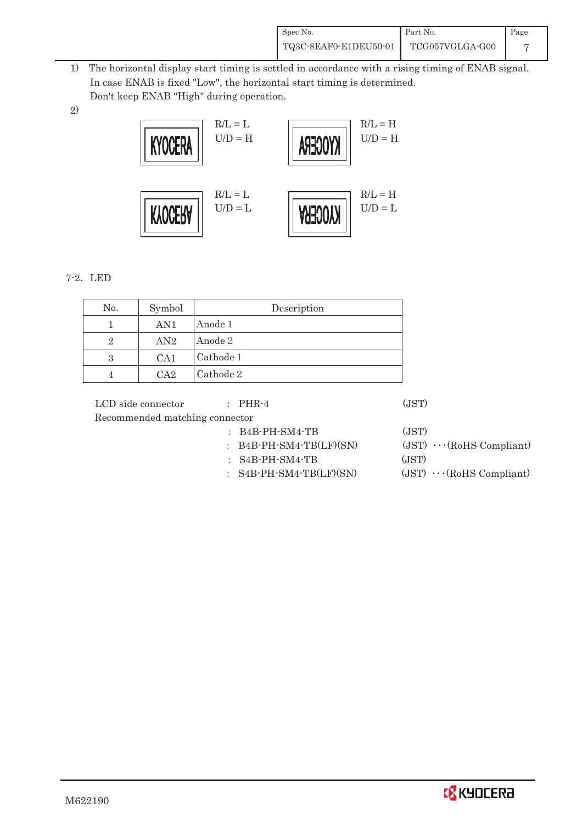| Spec No.              | Part No.        | Page |
|-----------------------|-----------------|------|
| TQ3C-8EAF0-E1DEU50-01 | TCG057VGLGA-G00 |      |

- 1) The horizontal display start timing is settled in accordance with a rising timing of ENAB signal. In case ENAB is fixed "Low", the horizontal start timing is determined. Don't keep ENAB "High" during operation.
- 2)



### 7-2. LED

| No. | Symbol | Description |
|-----|--------|-------------|
|     | AN1    | Anode 1     |
| 2   | AN2    | Anode 2     |
| 3   | CA1    | Cathode 1   |
|     | $C_A2$ | Cathode 2   |

| LCD side connector             | $\therefore$ PHR-4        | (JST) |                                 |
|--------------------------------|---------------------------|-------|---------------------------------|
| Recommended matching connector |                           |       |                                 |
|                                | $:B4B-PH-SM4-TB$          | (JST) |                                 |
|                                | $:$ B4B-PH-SM4-TB(LF)(SN) |       | $(JST) \cdots (RoHS Compliant)$ |
|                                | $:$ S4B-PH-SM4-TB         | (JST) |                                 |
|                                | $:$ S4B-PH-SM4-TB(LF)(SN) |       | $(JST) \cdots (RoHS Compliant)$ |
|                                |                           |       |                                 |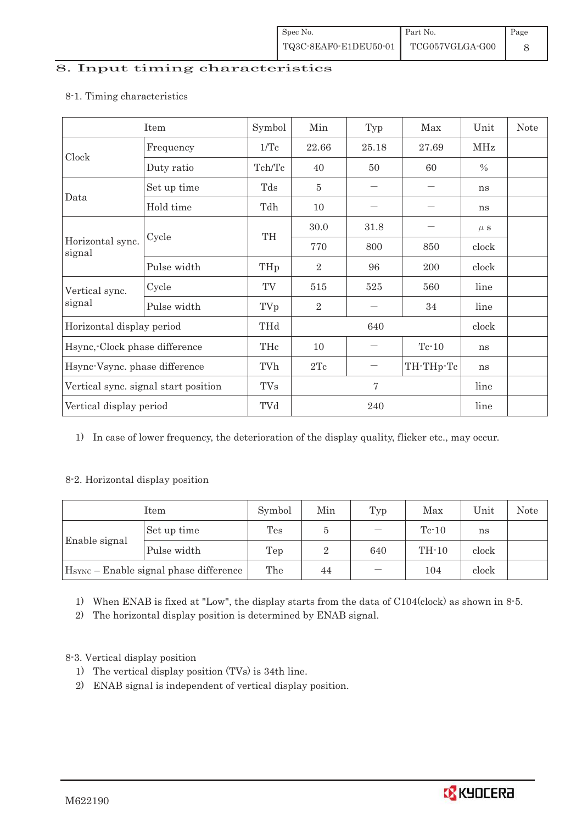#### 8. Input timing characteristics

### Item Symbol Min Typ Max Unit Note Clock Frequency 1/Tc  $22.66$   $25.18$  27.69 MHz Duty ratio  $\boxed{\text{Tch/Tc}}$  40  $\boxed{50}$  60  $\boxed{\%}$ Data Set up time Tds 5 㸫 㸫 ns Hold time  $\vert$  Tdh  $\vert$  10  $\vert$   $\vert$   $\vert$  ns Horizontal sync. signal Cycle TH  $30.0$   $31.8$   $\mu$  s 770 800 850 clock Pulse width  $THp$  2 96 200 clock Vertical sync. signal Cycle  $TV$  515 525 560 line Pulse width  $TV_p$  |  $2$  |  $-$  |  $34$  | line Horizontal display period THd 640 clock Hsync,-Clock phase difference  $\vert$  THc  $\vert$  10  $\vert$   $\vert$  Tc-10  $\vert$  ns Hsync-Vsync. phase difference  $\vert$  TVh  $\vert$  2Tc  $\vert$   $-$  TH-THp-Tc ns Vertical sync. signal start position TVs 7 7 line Vertical display period  $\boxed{\text{TVd}}$   $240$  line

#### 8-1. Timing characteristics

1) In case of lower frequency, the deterioration of the display quality, flicker etc., may occur.

### 8-2. Horizontal display position

| Item          |                                                    | Symbol | Min                 | Typ   | Max     | Unit  | <b>Note</b> |
|---------------|----------------------------------------------------|--------|---------------------|-------|---------|-------|-------------|
|               | Set up time                                        | Tes    |                     |       | $Tc-10$ | ns    |             |
| Enable signal | Pulse width                                        | Tep    | $TH-10$<br>640<br>റ | clock |         |       |             |
|               | H <sub>SYNC</sub> - Enable signal phase difference | The    | 44                  |       | 104     | clock |             |

1) When ENAB is fixed at "Low", the display starts from the data of C104(clock) as shown in 8-5.

2) The horizontal display position is determined by ENAB signal.

### 8-3. Vertical display position

- 1) The vertical display position (TVs) is 34th line.
- 2) ENAB signal is independent of vertical display position.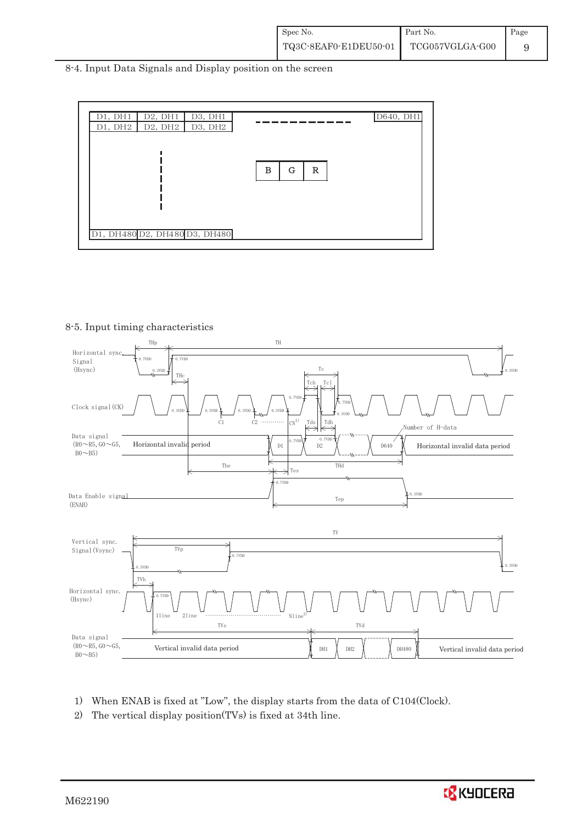8-4. Input Data Signals and Display position on the screen



#### 8-5. Input timing characteristics



- 1) When ENAB is fixed at "Low", the display starts from the data of C104(Clock).
- 2) The vertical display position(TVs) is fixed at 34th line.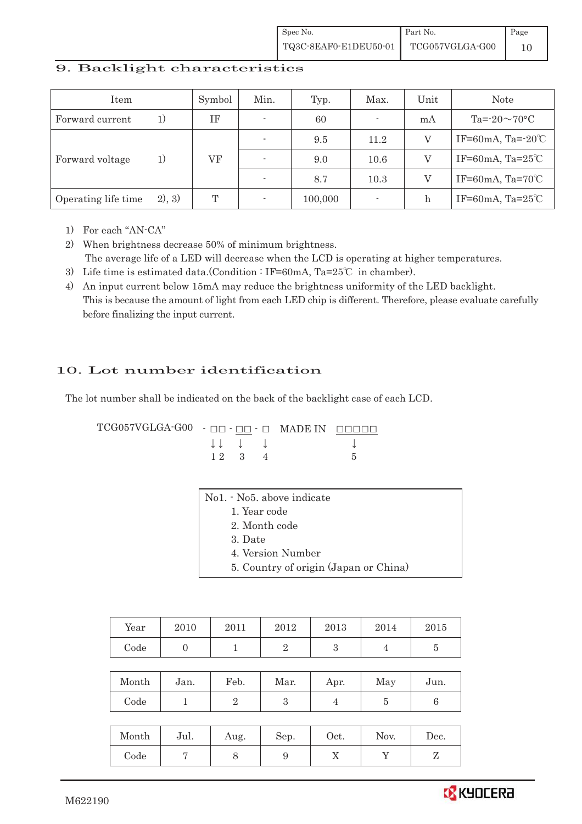### 9. Backlight characteristics

| Item                |        | Symbol | Min. | Typ.    | Max.                     | Unit | <b>Note</b>                  |
|---------------------|--------|--------|------|---------|--------------------------|------|------------------------------|
| Forward current     | 1)     | ΙF     |      | 60      | $\overline{\phantom{a}}$ | mA   | Ta= $-20\sim70$ °C           |
|                     | 1)     | VF     |      | 9.5     | 11.2                     | V    | IF=60mA, Ta= $-20^{\circ}$ C |
| Forward voltage     |        |        |      | 9.0     | 10.6                     |      | IF=60mA, Ta= $25^{\circ}$ C  |
|                     |        |        |      | 8.7     | 10.3                     |      | IF=60mA, Ta= $70^{\circ}$ C  |
| Operating life time | 2), 3) | T      |      | 100,000 | $\overline{a}$           | h    | IF=60mA, Ta= $25^{\circ}$ C  |

1) For each "AN-CA"

2) When brightness decrease 50% of minimum brightness. The average life of a LED will decrease when the LCD is operating at higher temperatures.

- 3) Life time is estimated data.(Condition : IF=60mA, Ta=25°C in chamber).
- 4) An input current below 15mA may reduce the brightness uniformity of the LED backlight. This is because the amount of light from each LED chip is different. Therefore, please evaluate carefully before finalizing the input current.

## 10. Lot number identification

The lot number shall be indicated on the back of the backlight case of each LCD.

 $TCG057VGLGA-G00 -  $\Box\Box$  -  $\Box$  -  $\Box$  \nMADE IN  $\Box\Box\Box\Box\Box$$  $\downarrow \downarrow \quad \downarrow \qquad \qquad \downarrow$  $1 \ 2 \ 3 \ 4$  5

| No1. - No5. above indicate            |
|---------------------------------------|
| 1. Year code                          |
| 2. Month code                         |
| 3. Date                               |
| 4. Version Number                     |
| 5. Country of origin (Japan or China) |

| Year  | 2010 | 2011 | 2012 | 2013 | 2014 | 2015 |
|-------|------|------|------|------|------|------|
| Code  |      |      |      |      |      |      |
|       |      |      |      |      |      |      |
| Month | Jan. | Feb. | Mar. | Apr. | May  | Jun. |

| Month | Jul. | Aug. | Sep. | Oct. | Nov. | Dec. |
|-------|------|------|------|------|------|------|
| Code  |      | U    |      | ∡⊾   |      |      |

Code 1 1 2 3 4 5 6

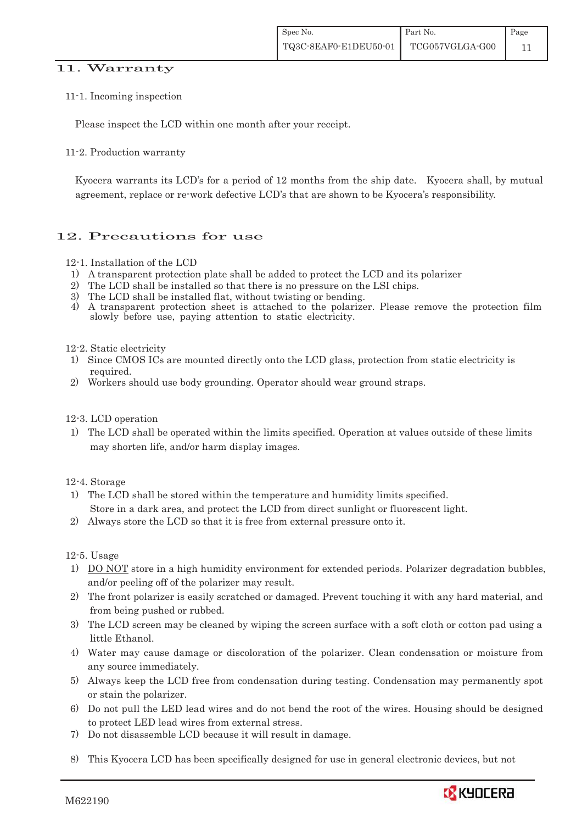#### 11. Warranty

#### 11-1. Incoming inspection

Please inspect the LCD within one month after your receipt.

#### 11-2. Production warranty

 Kyocera warrants its LCD's for a period of 12 months from the ship date. Kyocera shall, by mutual agreement, replace or re-work defective LCD's that are shown to be Kyocera's responsibility.

### 12. Precautions for use

#### 12-1. Installation of the LCD

- 1) A transparent protection plate shall be added to protect the LCD and its polarizer
- 2) The LCD shall be installed so that there is no pressure on the LSI chips.
- 3) The LCD shall be installed flat, without twisting or bending.
- 4) A transparent protection sheet is attached to the polarizer. Please remove the protection film slowly before use, paying attention to static electricity.

#### 12-2. Static electricity

- 1) Since CMOS ICs are mounted directly onto the LCD glass, protection from static electricity is required.
- 2) Workers should use body grounding. Operator should wear ground straps.

#### 12-3. LCD operation

1) The LCD shall be operated within the limits specified. Operation at values outside of these limits may shorten life, and/or harm display images.

#### 12-4. Storage

- 1) The LCD shall be stored within the temperature and humidity limits specified. Store in a dark area, and protect the LCD from direct sunlight or fluorescent light.
- 2) Always store the LCD so that it is free from external pressure onto it.

#### 12-5. Usage

- 1) DO NOT store in a high humidity environment for extended periods. Polarizer degradation bubbles, and/or peeling off of the polarizer may result.
- 2) The front polarizer is easily scratched or damaged. Prevent touching it with any hard material, and from being pushed or rubbed.
- 3) The LCD screen may be cleaned by wiping the screen surface with a soft cloth or cotton pad using a little Ethanol.
- 4) Water may cause damage or discoloration of the polarizer. Clean condensation or moisture from any source immediately.
- 5) Always keep the LCD free from condensation during testing. Condensation may permanently spot or stain the polarizer.
- 6) Do not pull the LED lead wires and do not bend the root of the wires. Housing should be designed to protect LED lead wires from external stress.
- 7) Do not disassemble LCD because it will result in damage.
- 8) This Kyocera LCD has been specifically designed for use in general electronic devices, but not

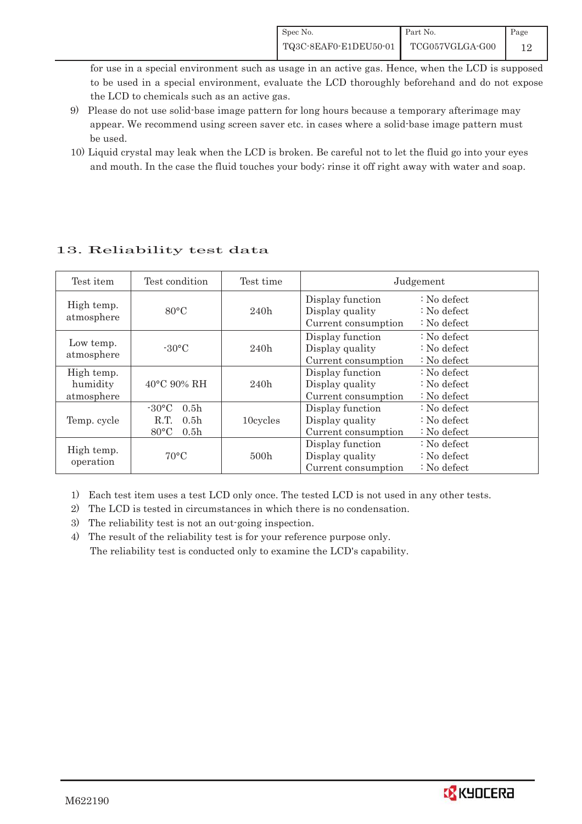for use in a special environment such as usage in an active gas. Hence, when the LCD is supposed to be used in a special environment, evaluate the LCD thoroughly beforehand and do not expose the LCD to chemicals such as an active gas.

- 9) Please do not use solid-base image pattern for long hours because a temporary afterimage may appear. We recommend using screen saver etc. in cases where a solid-base image pattern must be used.
- 10) Liquid crystal may leak when the LCD is broken. Be careful not to let the fluid go into your eyes and mouth. In the case the fluid touches your body; rinse it off right away with water and soap.

| Test item                            | Test condition                                                                                                   | Test time | Judgement                                                                                                                                |                                                                            |  |
|--------------------------------------|------------------------------------------------------------------------------------------------------------------|-----------|------------------------------------------------------------------------------------------------------------------------------------------|----------------------------------------------------------------------------|--|
| High temp.<br>atmosphere             | 80°C                                                                                                             | 240h      | Display function<br>Display quality<br>Current consumption                                                                               | $\therefore$ No defect<br>$\therefore$ No defect<br>$\therefore$ No defect |  |
| Low temp.<br>atmosphere              | $-30^{\circ}$ C                                                                                                  | 240h      | Display function<br>$\therefore$ No defect<br>Display quality<br>$\therefore$ No defect<br>Current consumption<br>$\therefore$ No defect |                                                                            |  |
| High temp.<br>humidity<br>atmosphere | $40^{\circ}$ C 90% RH                                                                                            | 240h      | Display function<br>Display quality<br>Current consumption                                                                               | $\therefore$ No defect<br>$\therefore$ No defect<br>$\therefore$ No defect |  |
| Temp. cycle                          | $-30\degree C$<br>0.5 <sub>h</sub><br>0.5 <sub>h</sub><br>10cycles<br>R.T.<br>$80^{\circ}$ C<br>0.5 <sub>h</sub> |           | Display function<br>Display quality<br>Current consumption                                                                               | $\therefore$ No defect<br>$\therefore$ No defect<br>$\therefore$ No defect |  |
| High temp.<br>operation              | 70°C                                                                                                             | 500h      | Display function<br>Display quality<br>Current consumption                                                                               | $\therefore$ No defect<br>$\therefore$ No defect<br>$\therefore$ No defect |  |

## 13. Reliability test data

1) Each test item uses a test LCD only once. The tested LCD is not used in any other tests.

2) The LCD is tested in circumstances in which there is no condensation.

3) The reliability test is not an out-going inspection.

4) The result of the reliability test is for your reference purpose only. The reliability test is conducted only to examine the LCD's capability.

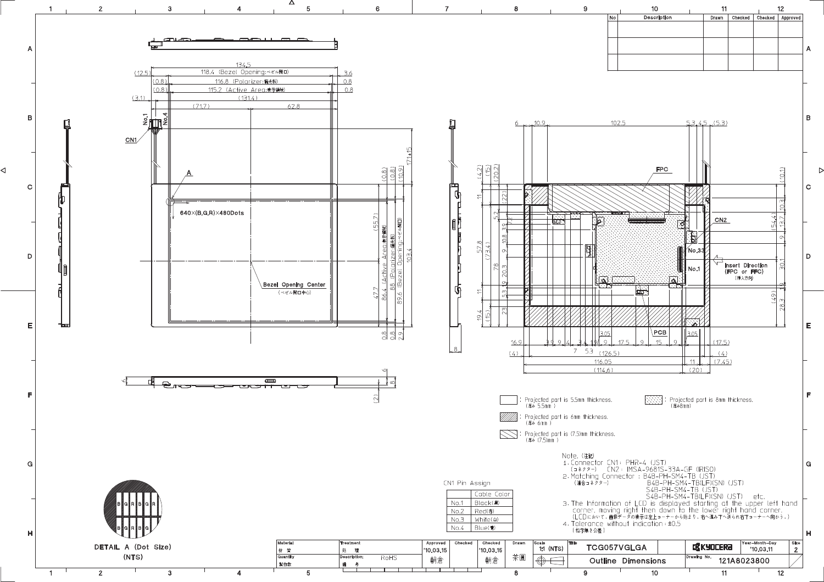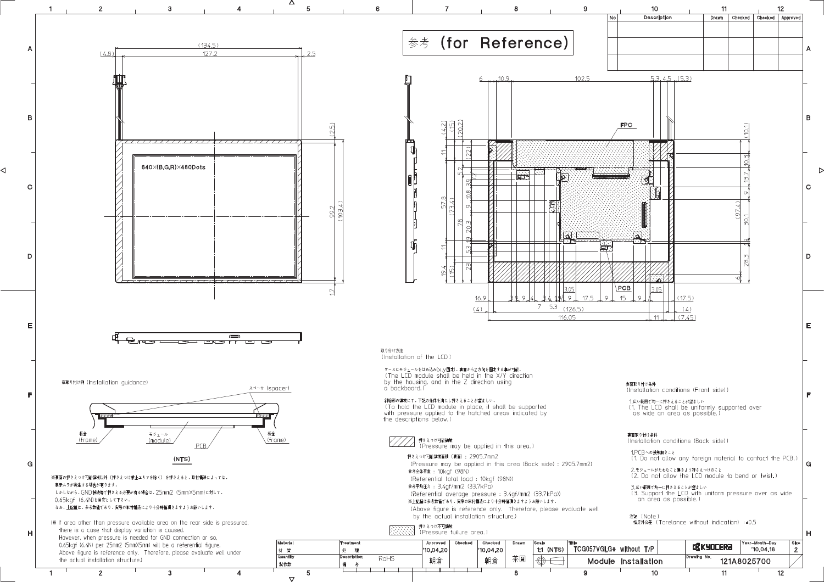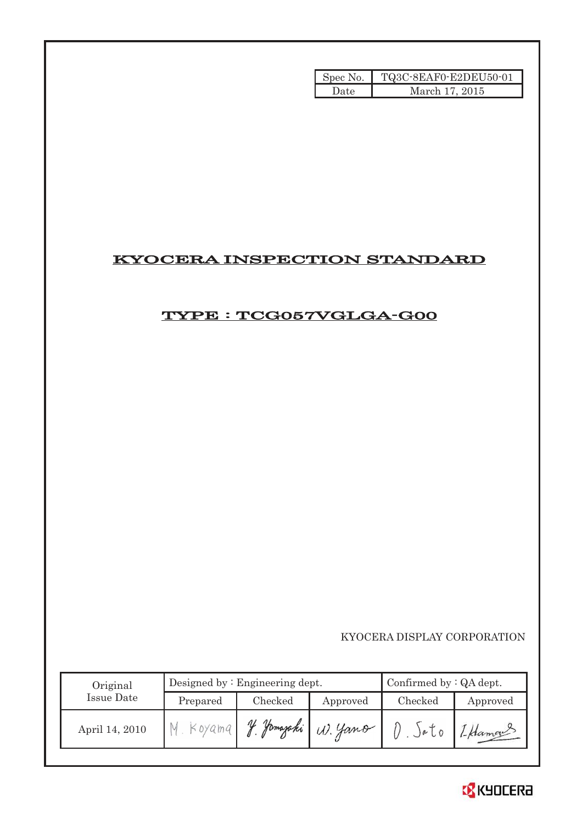| Spec No. | TQ3C-8EAF0-E2DEU50-01 |
|----------|-----------------------|
| Date     | March 17, 2015        |

## KYOCERA INSPECTION STANDARD

## TYPE : TCG057VGLGA-G00

KYOCERA DISPLAY CORPORATION

| Original       |          | Designed by $:$ Engineering dept. | Confirmed by $:QA$ dept. |          |          |
|----------------|----------|-----------------------------------|--------------------------|----------|----------|
| Issue Date     | Prepared | Checked                           | Approved                 | Checked  | Approved |
| April 14, 2010 | Koyama   | of Jamazaki                       | W. Yano                  | $)e$ $0$ | 1-Hamas  |

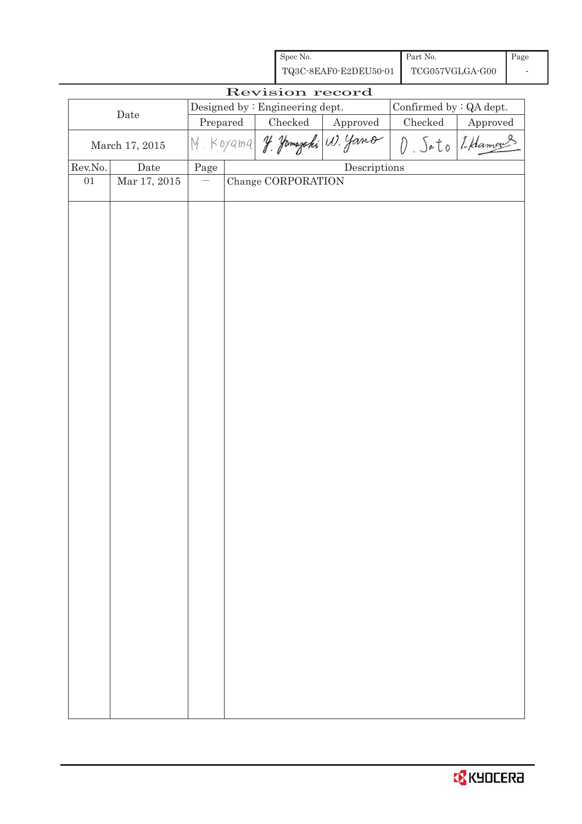| Spec No.              | Part No.        | Page |
|-----------------------|-----------------|------|
| TQ3C-8EAF0-E2DEU50-01 | TCG057VGLGA-G00 |      |

| Revision record  |                 |           |  |                                 |                                      |                         |                |  |
|------------------|-----------------|-----------|--|---------------------------------|--------------------------------------|-------------------------|----------------|--|
| $\rm{Date}$      |                 |           |  | Designed by : Engineering dept. |                                      | Confirmed by : QA dept. |                |  |
|                  |                 | Prepared  |  | $\rm Checked$                   | Approved                             | Checked                 | Approved       |  |
| March 17, 2015   |                 | M. Koyama |  |                                 | J. Jamazaki (1). Jano                |                         | O Sato [Hamans |  |
| ${\rm Rev. No.}$ | Date            | Page      |  |                                 | $\label{eq:2} \textbf{Descriptions}$ |                         |                |  |
| $01\,$           | Mar $17,\,2015$ |           |  | Change CORPORATION              |                                      |                         |                |  |
|                  |                 |           |  |                                 |                                      |                         |                |  |
|                  |                 |           |  |                                 |                                      |                         |                |  |
|                  |                 |           |  |                                 |                                      |                         |                |  |
|                  |                 |           |  |                                 |                                      |                         |                |  |
|                  |                 |           |  |                                 |                                      |                         |                |  |
|                  |                 |           |  |                                 |                                      |                         |                |  |
|                  |                 |           |  |                                 |                                      |                         |                |  |
|                  |                 |           |  |                                 |                                      |                         |                |  |
|                  |                 |           |  |                                 |                                      |                         |                |  |
|                  |                 |           |  |                                 |                                      |                         |                |  |
|                  |                 |           |  |                                 |                                      |                         |                |  |
|                  |                 |           |  |                                 |                                      |                         |                |  |
|                  |                 |           |  |                                 |                                      |                         |                |  |
|                  |                 |           |  |                                 |                                      |                         |                |  |
|                  |                 |           |  |                                 |                                      |                         |                |  |
|                  |                 |           |  |                                 |                                      |                         |                |  |
|                  |                 |           |  |                                 |                                      |                         |                |  |
|                  |                 |           |  |                                 |                                      |                         |                |  |
|                  |                 |           |  |                                 |                                      |                         |                |  |
|                  |                 |           |  |                                 |                                      |                         |                |  |
|                  |                 |           |  |                                 |                                      |                         |                |  |
|                  |                 |           |  |                                 |                                      |                         |                |  |
|                  |                 |           |  |                                 |                                      |                         |                |  |
|                  |                 |           |  |                                 |                                      |                         |                |  |
|                  |                 |           |  |                                 |                                      |                         |                |  |
|                  |                 |           |  |                                 |                                      |                         |                |  |
|                  |                 |           |  |                                 |                                      |                         |                |  |
|                  |                 |           |  |                                 |                                      |                         |                |  |
|                  |                 |           |  |                                 |                                      |                         |                |  |
|                  |                 |           |  |                                 |                                      |                         |                |  |
|                  |                 |           |  |                                 |                                      |                         |                |  |
|                  |                 |           |  |                                 |                                      |                         |                |  |
|                  |                 |           |  |                                 |                                      |                         |                |  |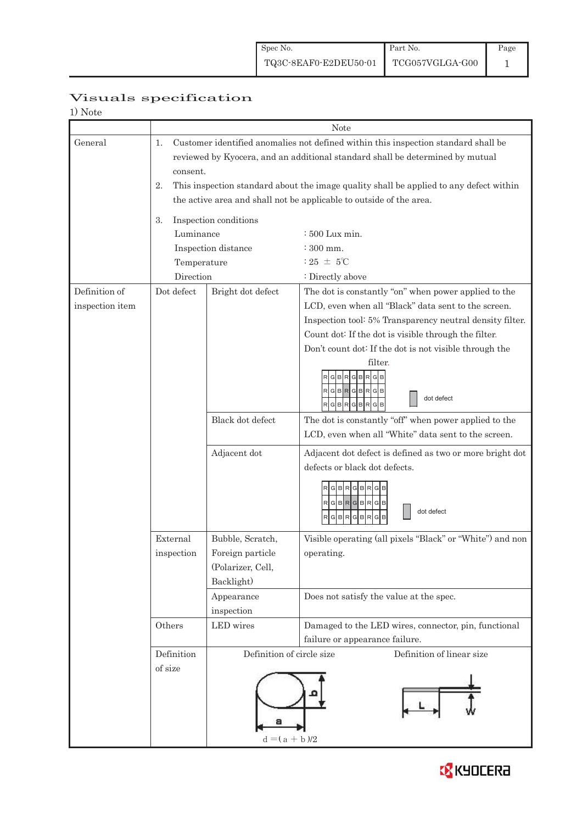| 1) Note         |                                                                                              |                           |                                                           |  |  |  |  |
|-----------------|----------------------------------------------------------------------------------------------|---------------------------|-----------------------------------------------------------|--|--|--|--|
|                 |                                                                                              | Note                      |                                                           |  |  |  |  |
| General         | 1.<br>Customer identified anomalies not defined within this inspection standard shall be     |                           |                                                           |  |  |  |  |
|                 | reviewed by Kyocera, and an additional standard shall be determined by mutual                |                           |                                                           |  |  |  |  |
|                 | consent.                                                                                     |                           |                                                           |  |  |  |  |
|                 | This inspection standard about the image quality shall be applied to any defect within<br>2. |                           |                                                           |  |  |  |  |
|                 | the active area and shall not be applicable to outside of the area.                          |                           |                                                           |  |  |  |  |
|                 | Inspection conditions<br>3.                                                                  |                           |                                                           |  |  |  |  |
|                 | Luminance                                                                                    |                           | $\div 500$ Lux min.                                       |  |  |  |  |
|                 |                                                                                              | Inspection distance       | : 300 mm.                                                 |  |  |  |  |
|                 | Temperature                                                                                  |                           | : 25 $\pm$ 5°C                                            |  |  |  |  |
|                 | Direction                                                                                    |                           | : Directly above                                          |  |  |  |  |
| Definition of   | Dot defect                                                                                   | Bright dot defect         | The dot is constantly "on" when power applied to the      |  |  |  |  |
| inspection item |                                                                                              |                           | LCD, even when all "Black" data sent to the screen.       |  |  |  |  |
|                 |                                                                                              |                           | Inspection tool: 5% Transparency neutral density filter.  |  |  |  |  |
|                 |                                                                                              |                           | Count dot: If the dot is visible through the filter.      |  |  |  |  |
|                 |                                                                                              |                           | Don't count dot: If the dot is not visible through the    |  |  |  |  |
|                 |                                                                                              |                           | filter.                                                   |  |  |  |  |
|                 |                                                                                              |                           | GBRGB                                                     |  |  |  |  |
|                 |                                                                                              |                           | RGBRGBRGB<br>dot defect                                   |  |  |  |  |
|                 |                                                                                              |                           | RGBRGBRGB                                                 |  |  |  |  |
|                 |                                                                                              | Black dot defect          | The dot is constantly "off" when power applied to the     |  |  |  |  |
|                 |                                                                                              |                           | LCD, even when all "White" data sent to the screen.       |  |  |  |  |
|                 |                                                                                              | Adjacent dot              | Adjacent dot defect is defined as two or more bright dot  |  |  |  |  |
|                 |                                                                                              |                           | defects or black dot defects.                             |  |  |  |  |
|                 |                                                                                              |                           | RGBRGBRG                                                  |  |  |  |  |
|                 |                                                                                              |                           | $RG$ B $RG$ B $RG$ B                                      |  |  |  |  |
|                 |                                                                                              |                           | dot defect<br>G<br>$\mathsf{B}$<br>R<br>GB<br>R<br>G      |  |  |  |  |
|                 |                                                                                              |                           |                                                           |  |  |  |  |
|                 | External                                                                                     | Bubble, Scratch,          | Visible operating (all pixels "Black" or "White") and non |  |  |  |  |
|                 | inspection                                                                                   | Foreign particle          | operating.                                                |  |  |  |  |
|                 |                                                                                              | (Polarizer, Cell,         |                                                           |  |  |  |  |
|                 |                                                                                              | Backlight)                |                                                           |  |  |  |  |
|                 |                                                                                              | Appearance                | Does not satisfy the value at the spec.                   |  |  |  |  |
|                 |                                                                                              | inspection                |                                                           |  |  |  |  |
|                 | Others                                                                                       | LED wires                 | Damaged to the LED wires, connector, pin, functional      |  |  |  |  |
|                 |                                                                                              |                           | failure or appearance failure.                            |  |  |  |  |
|                 | Definition                                                                                   | Definition of circle size | Definition of linear size                                 |  |  |  |  |
|                 | of size                                                                                      |                           |                                                           |  |  |  |  |
|                 |                                                                                              |                           |                                                           |  |  |  |  |
|                 |                                                                                              |                           |                                                           |  |  |  |  |
|                 |                                                                                              |                           |                                                           |  |  |  |  |
|                 |                                                                                              | $d = (a + b)/2$           |                                                           |  |  |  |  |
|                 |                                                                                              |                           |                                                           |  |  |  |  |

## Visuals specification